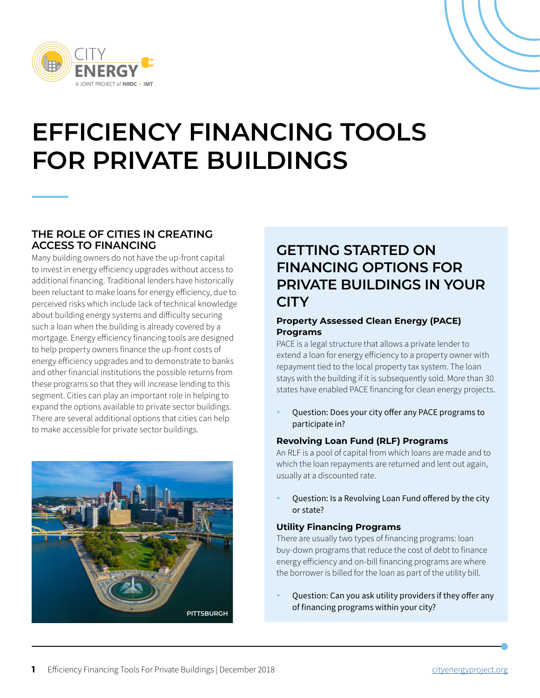

# **EFFICIENCY FINANCING TOOLS FOR PRIVATE BUILDINGS**

### **THE ROLE OF CITIES IN CREATING ACCESS TO FINANCING**

Many building owners do not have the up-front capital to invest in energy efficiency upgrades without access to additional financing. Traditional lenders have historically been reluctant to make loans for energy efficiency, due to perceived risks which include lack of technical knowledge about building energy systems and difficulty securing such a loan when the building is already covered by a mortgage. Energy efficiency financing tools are designed to help property owners finance the up-front costs of energy efficiency upgrades and to demonstrate to banks and other financial institutions the possible returns from these programs so that they will increase lending to this segment. Cities can play an important role in helping to expand the options available to private sector buildings. There are several additional options that cities can help to make accessible for private sector buildings.



### **GETTING STARTED ON FINANCING OPTIONS FOR PRIVATE BUILDINGS IN YOUR CITY**

#### **Property Assessed Clean Energy (PACE) Programs**

PACE is a legal structure that allows a private lender to extend a loan for energy efficiency to a property owner with repayment tied to the local property tax system. The loan stays with the building if it is subsequently sold. More than 30 states have enabled PACE financing for clean energy projects.

• Question: Does your city offer any PACE programs to participate in?

#### **Revolving Loan Fund (RLF) Programs**

An RLF is a pool of capital from which loans are made and to which the loan repayments are returned and lent out again, usually at a discounted rate.

• Question: Is a Revolving Loan Fund offered by the city or state?

#### **Utility Financing Programs**

There are usually two types of financing programs: loan buy-down programs that reduce the cost of debt to finance energy efficiency and on-bill financing programs are where the borrower is billed for the loan as part of the utility bill.

• Question: Can you ask utility providers if they offer any of financing programs within your city?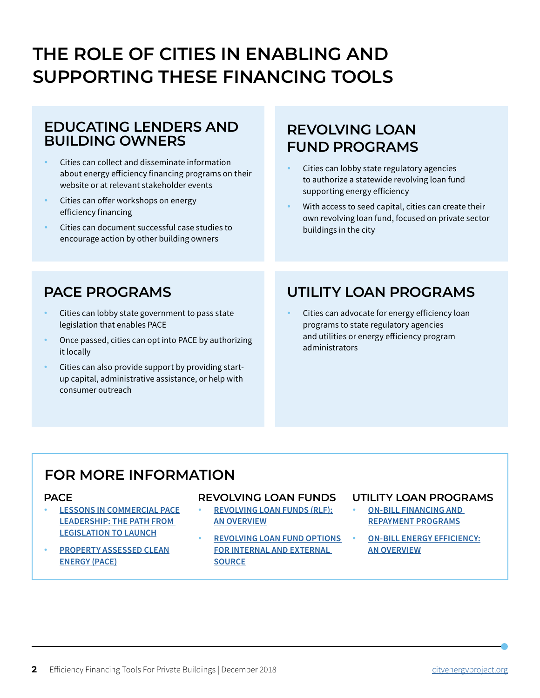## **THE ROLE OF CITIES IN ENABLING AND SUPPORTING THESE FINANCING TOOLS**

### **EDUCATING LENDERS AND BUILDING OWNERS**

- Cities can collect and disseminate information about energy efficiency financing programs on their website or at relevant stakeholder events
- Cities can offer workshops on energy efficiency financing
- Cities can document successful case studies to encourage action by other building owners

### **REVOLVING LOAN FUND PROGRAMS**

- Cities can lobby state regulatory agencies to authorize a statewide revolving loan fund supporting energy efficiency
- With access to seed capital, cities can create their own revolving loan fund, focused on private sector buildings in the city

### **PACE PROGRAMS**

- Cities can lobby state government to pass state legislation that enables PACE
- Once passed, cities can opt into PACE by authorizing it locally
- Cities can also provide support by providing startup capital, administrative assistance, or help with consumer outreach

### **UTILITY LOAN PROGRAMS**

• Cities can advocate for energy efficiency loan programs to state regulatory agencies and utilities or energy efficiency program administrators

### **FOR MORE INFORMATION**

#### **PACE**

- **[LESSONS IN COMMERCIAL PACE](https://www.energy.gov/eere/slsc/property-assessed-clean-energy-programs) [LEADERSHIP: THE PATH FROM](https://www.energy.gov/eere/slsc/property-assessed-clean-energy-programs)  [LEGISLATION TO LAUNCH](https://www.energy.gov/eere/slsc/property-assessed-clean-energy-programs)**
- **[PROPERTY ASSESSED CLEAN](https://aceee.org/sector/state-policy/toolkit/pace) [ENERGY \(PACE\)](https://aceee.org/sector/state-policy/toolkit/pace)**

#### **REVOLVING LOAN FUNDS**

- **[REVOLVING LOAN FUNDS \(RLF\):](https://aceee.org/sector/state-policy/toolkit/revolving-loan-funds) [AN OVERVIEW](https://aceee.org/sector/state-policy/toolkit/revolving-loan-funds)**
- **[REVOLVING LOAN FUND OPTIONS](https://www.nrel.gov/climate-neutral/revolving-loan-funds.html)  [FOR INTERNAL AND EXTERNAL](https://www.nrel.gov/climate-neutral/revolving-loan-funds.html)  [SOURCE](https://www.nrel.gov/climate-neutral/revolving-loan-funds.html)**

#### **UTILITY LOAN PROGRAMS**

- **[ON-BILL FINANCING AND](https://www.energy.gov/eere/slsc/bill-financing-and-repayment-programs)  [REPAYMENT PROGRAMS](https://www.energy.gov/eere/slsc/bill-financing-and-repayment-programs)**
- **[ON-BILL ENERGY EFFICIENCY:](https://aceee.org/sector/state-policy/toolkit/on-bill-financing) [AN OVERVIEW](https://aceee.org/sector/state-policy/toolkit/on-bill-financing)**